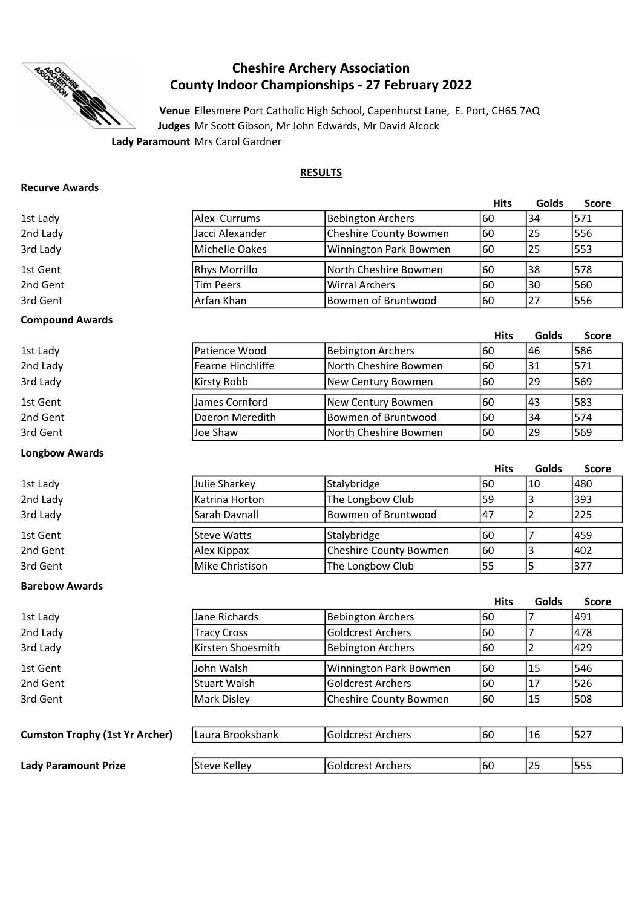

# Cheshire Archery Association County Indoor Championships - 27 February 2022

Venue Ellesmere Port Catholic High School, Capenhurst Lane, E. Port, CH65 7AQ Judges Mr Scott Gibson, Mr John Edwards, Mr David Alcock

# RESULTS

### Recurve Awards

|          |                      |                        | <b>Hits</b> | Golds | <b>Score</b> |
|----------|----------------------|------------------------|-------------|-------|--------------|
| 1st Lady | lAlex Currums        | Bebington Archers      | 160         | 34    | 571          |
| 2nd Lady | Jacci Alexander      | Cheshire County Bowmen | 160         | 125   | 1556         |
| 3rd Lady | Michelle Oakes       | Winnington Park Bowmen | 60          | 125   | 1553         |
| 1st Gent | <b>Rhys Morrillo</b> | North Cheshire Bowmen  | 160         | 138   | 1578         |
| 2nd Gent | <b>Tim Peers</b>     | Wirral Archers         | 60          | 130   | 560          |
| 3rd Gent | Arfan Khan           | Bowmen of Bruntwood    | 160         | 27    | 1556         |

Hits Golds Score

### Compound Awards

| 1st Lady | lPatience Wood    | Bebington Archers     | 160 | 146 | 1586 |
|----------|-------------------|-----------------------|-----|-----|------|
| 2nd Lady | Fearne Hinchliffe | North Cheshire Bowmen | 160 | 131 | 571  |
| 3rd Lady | Kirsty Robb       | New Century Bowmen    | 160 | 129 | 1569 |
| 1st Gent | James Cornford    | New Century Bowmen    | 160 | 143 | 1583 |
| 2nd Gent | Daeron Meredith   | Bowmen of Bruntwood   | 160 | 134 | 1574 |
| 3rd Gent | Joe Shaw          | North Cheshire Bowmen | 160 | 29  | 1569 |
|          |                   |                       |     |     |      |

### Hits Golds Score 1st Lady 60 10 480 2nd Lady **Example 2nd Lady** 59 393 3rd Lady **Example 20 225** 3rd Lady 3rd Lady 3rd Lady 3rd Lady 3rd Lady 3rd Lady 3rd Lady 3rd Lady 3rd Lady 3rd La 1st Gent 60 7 459 2nd Gent **Alex Kippax** Cheshire County Bowmen 60 3 402 and Gent 155 5 377 Steve Watts Stalybridge Julie Sharkey Stalybridge

# Barebow Awards

Longbow Awards

|                                       |                     |                          | <b>Hits</b> | Golds | <b>Score</b> |
|---------------------------------------|---------------------|--------------------------|-------------|-------|--------------|
| 1st Lady                              | Jane Richards       | <b>Bebington Archers</b> | 60          |       | 1491         |
| 2nd Lady                              | <b>Tracy Cross</b>  | <b>Goldcrest Archers</b> | 160         |       | 1478         |
| 3rd Lady                              | Kirsten Shoesmith   | <b>Bebington Archers</b> | 60          |       | 429          |
| 1st Gent                              | John Walsh          | Winnington Park Bowmen   | 60          | 15    | 546          |
| 2nd Gent                              | <b>Stuart Walsh</b> | Goldcrest Archers        | 60          | 17    | 526          |
| 3rd Gent                              | Mark Disley         | Cheshire County Bowmen   | 60          | 15    | 508          |
|                                       |                     |                          |             |       |              |
| <b>Cumston Trophy (1st Yr Archer)</b> | Laura Brooksbank    | Goldcrest Archers        | 60          | 16    | 527          |
|                                       |                     |                          |             |       |              |
| <b>Lady Paramount Prize</b>           | Steve Kelley        | Goldcrest Archers        | 60          | 25    | 555          |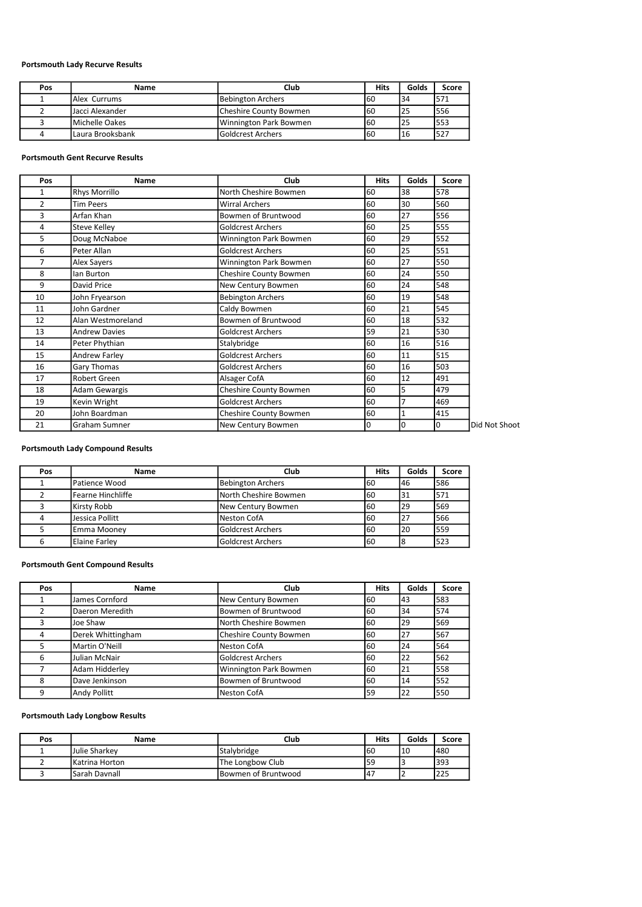# Portsmouth Lady Recurve Results

| Pos | Name                   | Club                          | <b>Hits</b> | Golds           | Score |
|-----|------------------------|-------------------------------|-------------|-----------------|-------|
|     | <b>Alex Currums</b>    | <b>Bebington Archers</b>      | 160         | 134             | 571   |
|     | IJacci Alexander       | <b>Cheshire County Bowmen</b> | 160         | l25             | 556   |
|     | <b>IMichelle Oakes</b> | Winnington Park Bowmen        | 160         | I <sub>25</sub> | 553   |
|     | I Laura Brooksbank     | <b>Goldcrest Archers</b>      | 160         | 116             | 527   |

#### Portsmouth Gent Recurve Results

| Pos            | <b>Name</b>          | Club                     | <b>Hits</b> | Golds          | Score |               |
|----------------|----------------------|--------------------------|-------------|----------------|-------|---------------|
| 1              | <b>Rhys Morrillo</b> | North Cheshire Bowmen    | 60          | 38             | 578   |               |
| $\overline{2}$ | <b>Tim Peers</b>     | <b>Wirral Archers</b>    | 60          | 30             | 560   |               |
| 3              | Arfan Khan           | Bowmen of Bruntwood      | 60          | 27             | 556   |               |
| 4              | <b>Steve Kelley</b>  | <b>Goldcrest Archers</b> | 60          | 25             | 555   |               |
| 5              | Doug McNaboe         | Winnington Park Bowmen   | 60          | 29             | 552   |               |
| 6              | Peter Allan          | <b>Goldcrest Archers</b> | 60          | 25             | 551   |               |
| 7              | Alex Sayers          | Winnington Park Bowmen   | 60          | 27             | 550   |               |
| 8              | lan Burton           | Cheshire County Bowmen   | 60          | 24             | 550   |               |
| 9              | David Price          | New Century Bowmen       | 60          | 24             | 548   |               |
| 10             | John Fryearson       | <b>Bebington Archers</b> | 60          | 19             | 548   |               |
| 11             | John Gardner         | Caldy Bowmen             | 60          | 21             | 545   |               |
| 12             | Alan Westmoreland    | Bowmen of Bruntwood      | 60          | 18             | 532   |               |
| 13             | <b>Andrew Davies</b> | <b>Goldcrest Archers</b> | 59          | 21             | 530   |               |
| 14             | Peter Phythian       | Stalybridge              | 60          | 16             | 516   |               |
| 15             | Andrew Farley        | <b>Goldcrest Archers</b> | 60          | 11             | 515   |               |
| 16             | Gary Thomas          | <b>Goldcrest Archers</b> | 60          | 16             | 503   |               |
| 17             | Robert Green         | Alsager CofA             | 60          | 12             | 491   |               |
| 18             | Adam Gewargis        | Cheshire County Bowmen   | 60          | 5              | 479   |               |
| 19             | Kevin Wright         | <b>Goldcrest Archers</b> | 60          | $\overline{7}$ | 469   |               |
| 20             | John Boardman        | Cheshire County Bowmen   | 60          | 1              | 415   |               |
| 21             | Graham Sumner        | New Century Bowmen       | 0           | O              | 0     | Did Not Shoot |

# Portsmouth Lady Compound Results

| Pos | <b>Name</b>         | Club                     | Hits | Golds | Score       |
|-----|---------------------|--------------------------|------|-------|-------------|
|     | Patience Wood       | <b>Bebington Archers</b> | 160  | 146   | 1586        |
|     | l Fearne Hinchliffe | North Cheshire Bowmen    | 160  | 131   | 1571        |
|     | Kirsty Robb         | New Century Bowmen       | 160  | 29    | 1569        |
|     | Jessica Pollitt     | Neston CofA              | 160  | 27    | 566         |
|     | Emma Mooney         | <b>Goldcrest Archers</b> | 160  | 20    | 1559        |
|     | Elaine Farley       | <b>Goldcrest Archers</b> | 160  |       | <b>1523</b> |

### Portsmouth Gent Compound Results

| Pos | <b>Name</b>       | Club                   | <b>Hits</b> | Golds | Score |
|-----|-------------------|------------------------|-------------|-------|-------|
|     | James Cornford    | New Century Bowmen     | 60          | 43    | 583   |
|     | Daeron Meredith   | Bowmen of Bruntwood    | 60          | 34    | 574   |
| 3   | Joe Shaw          | North Cheshire Bowmen  | 60          | 29    | 569   |
| 4   | Derek Whittingham | Cheshire County Bowmen | 60          | 27    | 1567  |
| 5   | Martin O'Neill    | Neston CofA            | 60          | 24    | 564   |
| 6   | Julian McNair     | Goldcrest Archers      | 60          | 22    | 562   |
|     | Adam Hidderley    | Winnington Park Bowmen | 60          | 21    | 1558  |
| 8   | Dave Jenkinson    | Bowmen of Bruntwood    | 60          | 14    | 552   |
| 9   | Andy Pollitt      | Neston CofA            | 59          | 22    | 1550  |

### Portsmouth Lady Longbow Results

| Pos | Name                   | Club                | Hits | Golds | Score |
|-----|------------------------|---------------------|------|-------|-------|
|     | LJulie Sharkev         | Stalybridge         | 160  | 110   | 1480  |
|     | IKatrina Horton        | The Longbow Club    | 59   | ر ا   | 1393  |
|     | <b>I</b> Sarah Davnall | Bowmen of Bruntwood | 147  |       | 225   |